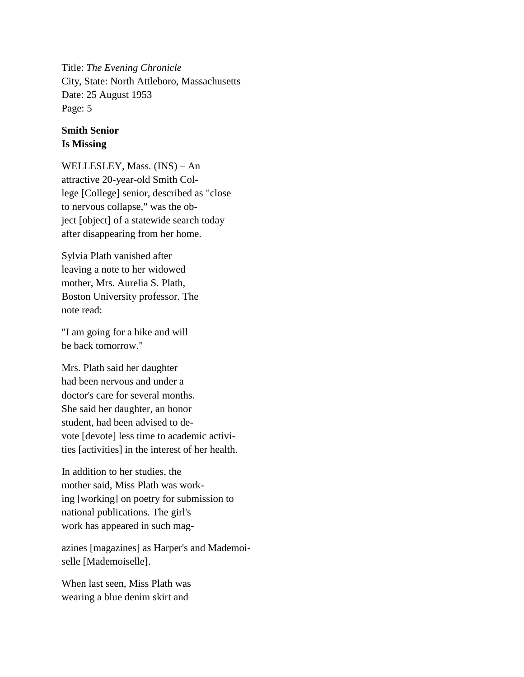Title: *The Evening Chronicle* City, State: North Attleboro, Massachusetts Date: 25 August 1953 Page: 5

## **Smith Senior Is Missing**

WELLESLEY, Mass. (INS) – An attractive 20-year-old Smith College [College] senior, described as "close to nervous collapse," was the object [object] of a statewide search today after disappearing from her home.

Sylvia Plath vanished after leaving a note to her widowed mother, Mrs. Aurelia S. Plath, Boston University professor. The note read:

"I am going for a hike and will be back tomorrow."

Mrs. Plath said her daughter had been nervous and under a doctor's care for several months. She said her daughter, an honor student, had been advised to devote [devote] less time to academic activities [activities] in the interest of her health.

In addition to her studies, the mother said, Miss Plath was working [working] on poetry for submission to national publications. The girl's work has appeared in such mag-

azines [magazines] as Harper's and Mademoiselle [Mademoiselle].

When last seen, Miss Plath was wearing a blue denim skirt and